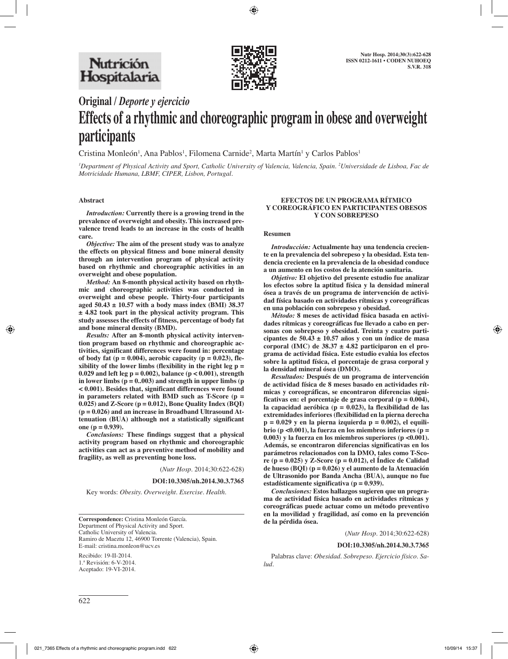

# **Original /** *Deporte y ejercicio*

# **Effects of a rhythmic and choreographic program in obese and overweight participants**

Cristina Monleón<sup>1</sup>, Ana Pablos<sup>1</sup>, Filomena Carnide<sup>2</sup>, Marta Martín<sup>1</sup> y Carlos Pablos<sup>1</sup>

*1 Department of Physical Activity and Sport, Catholic University of Valencia, Valencia, Spain. 2 Universidade de Lisboa, Fac de Motricidade Humana, LBMF, CIPER, Lisbon, Portugal.*

#### **Abstract**

*Introduction:* **Currently there is a growing trend in the prevalence of overweight and obesity. This increased prevalence trend leads to an increase in the costs of health care.**

*Objective:* **The aim of the present study was to analyze the effects on physical fitness and bone mineral density through an intervention program of physical activity based on rhythmic and choreographic activities in an overweight and obese population.**

*Method:* **An 8-month physical activity based on rhythmic and choreographic activities was conducted in overweight and obese people. Thirty-four participants aged 50.43 ± 10.57 with a body mass index (BMI) 38.37 ± 4.82 took part in the physical activity program. This study assesses the effects of fitness, percentage of body fat and bone mineral density (BMD).**

*Results:* **After an 8-month physical activity intervention program based on rhythmic and choreographic activities, significant differences were found in: percentage**  of body fat  $(p = 0.004)$ , aerobic capacity  $(p = 0.023)$ , fle**xibility of the lower limbs (flexibility in the right leg p = 0.029 and left leg p = 0.002), balance (p < 0.001), strength in lower limbs (p = 0..003) and strength in upper limbs (p < 0.001). Besides that, significant differences were found in parameters related with BMD such as T-Score (p = 0.025) and Z-Score (p = 0.012), Bone Quality Index (BQI) (p = 0.026) and an increase in Broadband Ultrasound Attenuation (BUA) although not a statistically significant one (p = 0.939).**

*Conclusions:* **These findings suggest that a physical activity program based on rhythmic and choreographic activities can act as a preventive method of mobility and fragility, as well as preventing bone loss.**

(*Nutr Hosp.* 2014;30:622-628)

**DOI:10.3305/nh.2014.30.3.7365**

Key words: *Obesity. Overweight. Exercise. Health.*

**Correspondence:** Cristina Monleón García. Department of Physical Activity and Sport. Catholic University of Valencia. Ramiro de Maeztu 12, 46900 Torrente (Valencia), Spain. E-mail: cristina.monleon@ucv.es

Recibido: 19-II-2014. 1.ª Revisión: 6-V-2014. Aceptado: 19-VI-2014.

#### **EFECTOS DE UN PROGRAMA RÍTMICO Y COREOGRÁFICO EN PARTICIPANTES OBESOS Y CON SOBREPESO**

#### **Resumen**

*Introducción:* **Actualmente hay una tendencia creciente en la prevalencia del sobrepeso y la obesidad. Esta tendencia creciente en la prevalencia de la obesidad conduce a un aumento en los costos de la atención sanitaria.**

*Objetivo:* **El objetivo del presente estudio fue analizar los efectos sobre la aptitud física y la densidad mineral ósea a través de un programa de intervención de actividad física basado en actividades rítmicas y coreográficas en una población con sobrepeso y obesidad.**

*Método:* **8 meses de actividad física basada en actividades rítmicas y coreográficas fue llevado a cabo en personas con sobrepeso y obesidad. Treinta y cuatro participantes de 50.43 ± 10.57 años y con un índice de masa corporal (IMC) de 38.37 ± 4.82 participaron en el programa de actividad física. Este estudio evalúa los efectos sobre la aptitud física, el porcentaje de grasa corporal y la densidad mineral ósea (DMO).**

*Resultados:* **Después de un programa de intervención de actividad física de 8 meses basado en actividades rítmicas y coreográficas, se encontraron diferencias significativas en: el porcentaje de grasa corporal (p = 0.004), la capacidad aeróbica (p = 0.023), la flexibilidad de las extremidades inferiores (flexibilidad en la pierna derecha p = 0.029 y en la pierna izquierda p = 0.002), el equilibrio (p <0.001), la fuerza en los miembros inferiores (p = 0.003) y la fuerza en los miembros superiores (p <0.001). Además, se encontraron diferencias significativas en los parámetros relacionados con la DMO, tales como T-Score (p = 0.025) y Z-Score (p = 0.012), el Índice de Calidad de hueso (BQI) (p = 0.026) y el aumento de la Atenuación de Ultrasonido por Banda Ancha (BUA), aunque no fue estadísticamente significativa (p = 0.939).**

*Conclusiones:* **Estos hallazgos sugieren que un programa de actividad física basado en actividades rítmicas y coreográficas puede actuar como un método preventivo en la movilidad y fragilidad, así como en la prevención de la pérdida ósea.**

(*Nutr Hosp.* 2014;30:622-628)

#### **DOI:10.3305/nh.2014.30.3.7365**

Palabras clave: *Obesidad. Sobrepeso. Ejercicio físico. Salud.*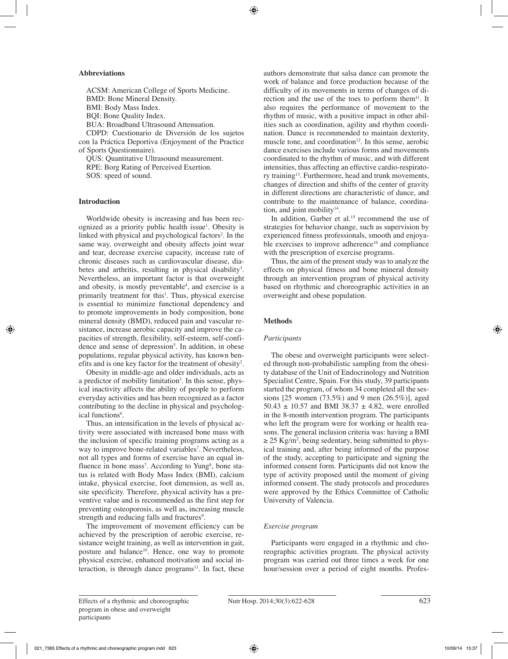## **Abbreviations**

ACSM: American College of Sports Medicine. BMD: Bone Mineral Density. BMI: Body Mass Index. BQI: Bone Quality Index. BUA: Broadband Ultrasound Attenuation. CDPD: Cuestionario de Diversión de los sujetos

con la Práctica Deportiva (Enjoyment of the Practice of Sports Questionnaire).

QUS: Quantitative Ultrasound measurement. RPE: Borg Rating of Perceived Exertion. SOS: speed of sound.

## **Introduction**

Worldwide obesity is increasing and has been recognized as a priority public health issue<sup>1</sup>. Obesity is linked with physical and psychological factors<sup>2</sup>. In the same way, overweight and obesity affects joint wear and tear, decrease exercise capacity, increase rate of chronic diseases such as cardiovascular disease, diabetes and arthritis, resulting in physical disability<sup>3</sup>. Nevertheless, an important factor is that overweight and obesity, is mostly preventable<sup>4</sup>, and exercise is a primarily treatment for this<sup>1</sup>. Thus, physical exercise is essential to minimize functional dependency and to promote improvements in body composition, bone mineral density (BMD), reduced pain and vascular resistance, increase aerobic capacity and improve the capacities of strength, flexibility, self-esteem, self-confidence and sense of depression<sup>5</sup>. In addition, in obese populations, regular physical activity, has known benefits and is one key factor for the treatment of obesity<sup>2</sup>.

Obesity in middle-age and older individuals, acts as a predictor of mobility limitation<sup>3</sup>. In this sense, physical inactivity affects the ability of people to perform everyday activities and has been recognized as a factor contributing to the decline in physical and psychological functions<sup>6</sup>.

Thus, an intensification in the levels of physical activity were associated with increased bone mass with the inclusion of specific training programs acting as a way to improve bone-related variables<sup>7</sup>. Nevertheless, not all types and forms of exercise have an equal influence in bone mass<sup>7</sup>. According to Yung<sup>8</sup>, bone status is related with Body Mass Index (BMI), calcium intake, physical exercise, foot dimension, as well as, site specificity. Therefore, physical activity has a preventive value and is recommended as the first step for preventing osteoporosis, as well as, increasing muscle strength and reducing falls and fractures<sup>9</sup>.

The improvement of movement efficiency can be achieved by the prescription of aerobic exercise, resistance weight training, as well as intervention in gait, posture and balance<sup>10</sup>. Hence, one way to promote physical exercise, enhanced motivation and social interaction, is through dance  $\text{programs}^{11}$ . In fact, these authors demonstrate that salsa dance can promote the work of balance and force production because of the difficulty of its movements in terms of changes of direction and the use of the toes to perform them $11$ . It also requires the performance of movement to the rhythm of music, with a positive impact in other abilities such as coordination, agility and rhythm coordination. Dance is recommended to maintain dexterity, muscle tone, and coordination $12$ . In this sense, aerobic dance exercises include various forms and movements coordinated to the rhythm of music, and with different intensities, thus affecting an effective cardio-respiratory training13. Furthermore, head and trunk movements, changes of direction and shifts of the center of gravity in different directions are characteristic of dance, and contribute to the maintenance of balance, coordination, and joint mobility $14$ .

In addition, Garber et al.<sup>15</sup> recommend the use of strategies for behavior change, such as supervision by experienced fitness professionals, smooth and enjoyable exercises to improve adherence<sup>16</sup> and compliance with the prescription of exercise programs.

Thus, the aim of the present study was to analyze the effects on physical fitness and bone mineral density through an intervention program of physical activity based on rhythmic and choreographic activities in an overweight and obese population.

# **Methods**

## *Participants*

The obese and overweight participants were selected through non-probabilistic sampling from the obesity database of the Unit of Endocrinology and Nutrition Specialist Centre, Spain. For this study, 39 participants started the program, of whom 34 completed all the sessions [25 women (73.5%) and 9 men (26.5%)], aged 50.43  $\pm$  10.57 and BMI 38.37  $\pm$  4.82, were enrolled in the 8-month intervention program. The participants who left the program were for working or health reasons. The general inclusion criteria was: having a BMI  $\geq$  25 Kg/m<sup>2</sup>, being sedentary, being submitted to physical training and, after being informed of the purpose of the study, accepting to participate and signing the informed consent form. Participants did not know the type of activity proposed until the moment of giving informed consent. The study protocols and procedures were approved by the Ethics Committee of Catholic University of Valencia.

# *Exercise program*

Participants were engaged in a rhythmic and choreographic activities program. The physical activity program was carried out three times a week for one hour/session over a period of eight months. Profes-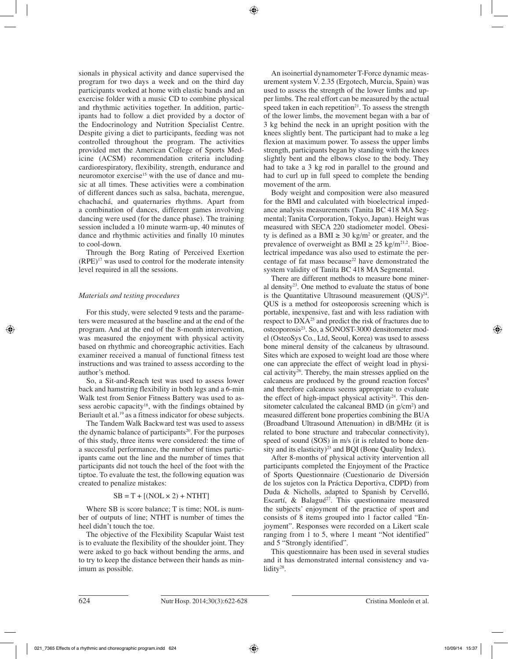sionals in physical activity and dance supervised the program for two days a week and on the third day participants worked at home with elastic bands and an exercise folder with a music CD to combine physical and rhythmic activities together. In addition, participants had to follow a diet provided by a doctor of the Endocrinology and Nutrition Specialist Centre. Despite giving a diet to participants, feeding was not controlled throughout the program. The activities provided met the American College of Sports Medicine (ACSM) recommendation criteria including cardiorespiratory, flexibility, strength, endurance and neuromotor exercise<sup>15</sup> with the use of dance and music at all times. These activities were a combination of different dances such as salsa, bachata, merengue, chachachá, and quaternaries rhythms. Apart from a combination of dances, different games involving dancing were used (for the dance phase). The training session included a 10 minute warm-up, 40 minutes of dance and rhythmic activities and finally 10 minutes to cool-down.

Through the Borg Rating of Perceived Exertion  $(RPE)^{17}$  was used to control for the moderate intensity level required in all the sessions.

## *Materials and testing procedures*

For this study, were selected 9 tests and the parameters were measured at the baseline and at the end of the program. And at the end of the 8-month intervention, was measured the enjoyment with physical activity based on rhythmic and choreographic activities. Each examiner received a manual of functional fitness test instructions and was trained to assess according to the author's method.

So, a Sit-and-Reach test was used to assess lower back and hamstring flexibility in both legs and a 6-min Walk test from Senior Fitness Battery was used to assess aerobic capacity<sup>18</sup>, with the findings obtained by Beriault et al.19 as a fitness indicator for obese subjects.

The Tandem Walk Backward test was used to assess the dynamic balance of participants<sup>20</sup>. For the purposes of this study, three items were considered: the time of a successful performance, the number of times participants came out the line and the number of times that participants did not touch the heel of the foot with the tiptoe. To evaluate the test, the following equation was created to penalize mistakes:

# $SB = T + [(NOL \times 2) + NTHT]$

Where SB is score balance; T is time; NOL is number of outputs of line; NTHT is number of times the heel didn't touch the toe.

The objective of the Flexibility Scapular Waist test is to evaluate the flexibility of the shoulder joint. They were asked to go back without bending the arms, and to try to keep the distance between their hands as minimum as possible.

An isoinertial dynamometer T-Force dynamic measurement system V. 2.35 (Ergotech, Murcia, Spain) was used to assess the strength of the lower limbs and upper limbs. The real effort can be measured by the actual speed taken in each repetition<sup>21</sup>. To assess the strength of the lower limbs, the movement began with a bar of 3 kg behind the neck in an upright position with the knees slightly bent. The participant had to make a leg flexion at maximum power. To assess the upper limbs strength, participants began by standing with the knees slightly bent and the elbows close to the body. They had to take a 3 kg rod in parallel to the ground and had to curl up in full speed to complete the bending movement of the arm.

Body weight and composition were also measured for the BMI and calculated with bioelectrical impedance analysis measurements (Tanita BC 418 MA Segmental; Tanita Corporation, Tokyo, Japan). Height was measured with SECA 220 stadiometer model. Obesity is defined as a BMI  $\geq 30 \text{ kg/m}^2$  or greater, and the prevalence of overweight as BMI  $\geq 25$  kg/m<sup>21,2</sup>. Bioelectrical impedance was also used to estimate the percentage of fat mass because<sup>22</sup> have demonstrated the system validity of Tanita BC 418 MA Segmental.

There are different methods to measure bone mineral density<sup>23</sup>. One method to evaluate the status of bone is the Quantitative Ultrasound measurement  $(QUS)^{24}$ . QUS is a method for osteoporosis screening which is portable, inexpensive, fast and with less radiation with respect to DXA25 and predict the risk of fractures due to osteoporosis23. So, a SONOST-3000 densitometer model (OsteoSys Co., Ltd, Seoul, Korea) was used to assess bone mineral density of the calcaneus by ultrasound. Sites which are exposed to weight load are those where one can appreciate the effect of weight load in physical activity<sup>26</sup>. Thereby, the main stresses applied on the calcaneus are produced by the ground reaction forces<sup>8</sup> and therefore calcaneus seems appropriate to evaluate the effect of high-impact physical activity<sup>24</sup>. This densitometer calculated the calcaneal BMD (in  $g/cm<sup>2</sup>$ ) and measured different bone properties combining the BUA (Broadband Ultrasound Attenuation) in dB/MHz (it is related to bone structure and trabecular connectivity), speed of sound (SOS) in m/s (it is related to bone density and its elasticity)<sup>23</sup> and BQI (Bone Quality Index).

After 8-months of physical activity intervention all participants completed the Enjoyment of the Practice of Sports Questionnaire (Cuestionario de Diversión de los sujetos con la Práctica Deportiva, CDPD) from Duda & Nicholls, adapted to Spanish by Cervelló, Escartí, & Balagué<sup>27</sup>. This questionnaire measured the subjects' enjoyment of the practice of sport and consists of 8 items grouped into 1 factor called "Enjoyment". Responses were recorded on a Likert scale ranging from 1 to 5, where 1 meant "Not identified" and 5 "Strongly identified".

This questionnaire has been used in several studies and it has demonstrated internal consistency and validity<sup>28</sup>.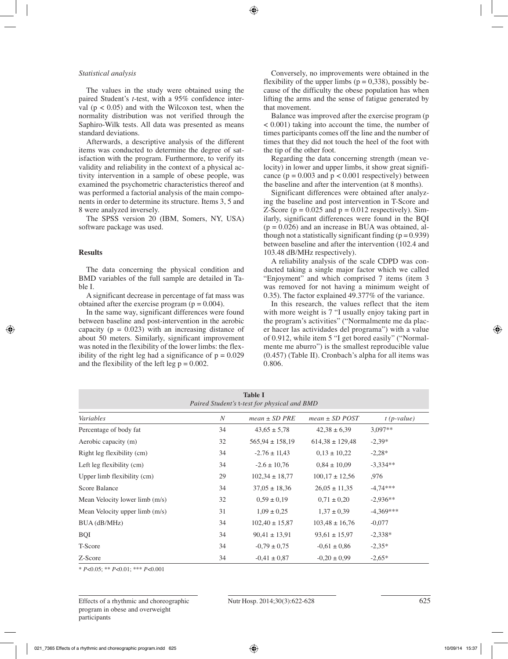#### *Statistical analysis*

The values in the study were obtained using the paired Student's *t*-test, with a 95% confidence interval ( $p < 0.05$ ) and with the Wilcoxon test, when the normality distribution was not verified through the Saphiro-Wilk tests. All data was presented as means standard deviations.

Afterwards, a descriptive analysis of the different items was conducted to determine the degree of satisfaction with the program. Furthermore, to verify its validity and reliability in the context of a physical activity intervention in a sample of obese people, was examined the psychometric characteristics thereof and was performed a factorial analysis of the main components in order to determine its structure. Items 3, 5 and 8 were analyzed inversely.

The SPSS version 20 (IBM, Somers, NY, USA) software package was used.

#### **Results**

The data concerning the physical condition and BMD variables of the full sample are detailed in Table I.

A significant decrease in percentage of fat mass was obtained after the exercise program  $(p = 0.004)$ .

In the same way, significant differences were found between baseline and post-intervention in the aerobic capacity ( $p = 0.023$ ) with an increasing distance of about 50 meters. Similarly, significant improvement was noted in the flexibility of the lower limbs: the flexibility of the right leg had a significance of  $p = 0.029$ and the flexibility of the left leg  $p = 0.002$ .

Conversely, no improvements were obtained in the flexibility of the upper limbs ( $p = 0.338$ ), possibly because of the difficulty the obese population has when lifting the arms and the sense of fatigue generated by that movement.

Balance was improved after the exercise program (p < 0.001) taking into account the time, the number of times participants comes off the line and the number of times that they did not touch the heel of the foot with the tip of the other foot.

Regarding the data concerning strength (mean velocity) in lower and upper limbs, it show great significance ( $p = 0.003$  and  $p < 0.001$  respectively) between the baseline and after the intervention (at 8 months).

Significant differences were obtained after analyzing the baseline and post intervention in T-Score and Z-Score ( $p = 0.025$  and  $p = 0.012$  respectively). Similarly, significant differences were found in the BQI  $(p = 0.026)$  and an increase in BUA was obtained, although not a statistically significant finding  $(p = 0.939)$ between baseline and after the intervention (102.4 and 103.48 dB/MHz respectively).

A reliability analysis of the scale CDPD was conducted taking a single major factor which we called "Enjoyment" and which comprised 7 items (item 3 was removed for not having a minimum weight of 0.35). The factor explained 49.377% of the variance.

In this research, the values reflect that the item with more weight is 7 "I usually enjoy taking part in the program's activities" ("Normalmente me da placer hacer las actividades del programa") with a value of 0.912, while item 5 "I get bored easily" ("Normalmente me aburro") is the smallest reproducible value (0.457) (Table II). Cronbach's alpha for all items was 0.806.

| Table I<br>Paired Student's t-test for physical and BMD |                  |                     |                     |               |  |  |  |
|---------------------------------------------------------|------------------|---------------------|---------------------|---------------|--|--|--|
| Variables                                               | $\boldsymbol{N}$ | $mean \pm SD$ PRE   | $mean \pm SD$ POST  | $t$ (p-value) |  |  |  |
| Percentage of body fat                                  | 34               | $43,65 \pm 5,78$    | $42.38 \pm 6.39$    | $3,097**$     |  |  |  |
| Aerobic capacity (m)                                    | 32               | $565,94 \pm 158,19$ | $614,38 \pm 129,48$ | $-2,39*$      |  |  |  |
| Right leg flexibility (cm)                              | 34               | $-2.76 \pm 11,43$   | $0,13 \pm 10,22$    | $-2,28*$      |  |  |  |
| Left leg flexibility (cm)                               | 34               | $-2.6 \pm 10.76$    | $0,84 \pm 10,09$    | $-3,334**$    |  |  |  |
| Upper limb flexibility (cm)                             | 29               | $102,34 \pm 18,77$  | $100,17 \pm 12,56$  | .976          |  |  |  |
| Score Balance                                           | 34               | $37,05 \pm 18,36$   | $26,05 \pm 11,35$   | $-4,74***$    |  |  |  |
| Mean Velocity lower limb (m/s)                          | 32               | $0.59 \pm 0.19$     | $0.71 \pm 0.20$     | $-2,936**$    |  |  |  |
| Mean Velocity upper $limb$ $(m/s)$                      | 31               | $1,09 \pm 0.25$     | $1,37 \pm 0,39$     | $-4,369***$   |  |  |  |
| BUA (dB/MHz)                                            | 34               | $102,40 \pm 15,87$  | $103,48 \pm 16,76$  | $-0.077$      |  |  |  |
| BQI                                                     | 34               | $90.41 \pm 13.91$   | $93,61 \pm 15,97$   | $-2,338*$     |  |  |  |
| T-Score                                                 | 34               | $-0.79 \pm 0.75$    | $-0.61 \pm 0.86$    | $-2,35*$      |  |  |  |
| Z-Score                                                 | 34               | $-0.41 \pm 0.87$    | $-0.20 \pm 0.99$    | $-2,65*$      |  |  |  |

\* *P*<0.05; \*\* *P*<0.01; \*\*\* *P*<0.001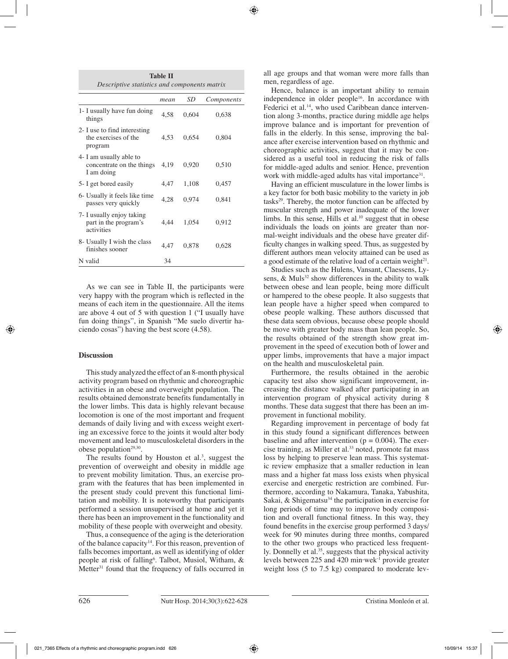| <b>Table II</b>                              |  |  |  |  |  |
|----------------------------------------------|--|--|--|--|--|
| Descriptive statistics and components matrix |  |  |  |  |  |

|                                                                    | mean | SD    | Components |
|--------------------------------------------------------------------|------|-------|------------|
| 1- I usually have fun doing<br>things                              | 4.58 | 0,604 | 0,638      |
| 2- I use to find interesting<br>the exercises of the<br>program    | 4.53 | 0.654 | 0,804      |
| 4- I am usually able to<br>concentrate on the things<br>I am doing | 4.19 | 0,920 | 0,510      |
| 5- I get bored easily                                              | 4,47 | 1,108 | 0,457      |
| 6- Usually it feels like time<br>passes very quickly               | 4,28 | 0,974 | 0,841      |
| 7- I usually enjoy taking<br>part in the program's<br>activities   | 4,44 | 1,054 | 0,912      |
| 8- Usually I wish the class<br>finishes sooner                     | 4.47 | 0,878 | 0,628      |
| N valid                                                            | 34   |       |            |

As we can see in Table II, the participants were very happy with the program which is reflected in the means of each item in the questionnaire. All the items are above 4 out of 5 with question 1 ("I usually have fun doing things", in Spanish "Me suelo divertir haciendo cosas") having the best score (4.58).

## **Discussion**

This study analyzed the effect of an 8-month physical activity program based on rhythmic and choreographic activities in an obese and overweight population. The results obtained demonstrate benefits fundamentally in the lower limbs. This data is highly relevant because locomotion is one of the most important and frequent demands of daily living and with excess weight exerting an excessive force to the joints it would alter body movement and lead to musculoskeletal disorders in the obese population $29,30$ .

The results found by Houston et al.<sup>3</sup>, suggest the prevention of overweight and obesity in middle age to prevent mobility limitation. Thus, an exercise program with the features that has been implemented in the present study could prevent this functional limitation and mobility. It is noteworthy that participants performed a session unsupervised at home and yet it there has been an improvement in the functionality and mobility of these people with overweight and obesity.

Thus, a consequence of the aging is the deterioration of the balance capacity<sup>14</sup>. For this reason, prevention of falls becomes important, as well as identifying of older people at risk of falling<sup>6</sup>. Talbot, Musiol, Witham, & Metter<sup>31</sup> found that the frequency of falls occurred in

all age groups and that woman were more falls than men, regardless of age.

Hence, balance is an important ability to remain independence in older people<sup>16</sup>. In accordance with Federici et al.<sup>14</sup>, who used Caribbean dance intervention along 3-months, practice during middle age helps improve balance and is important for prevention of falls in the elderly. In this sense, improving the balance after exercise intervention based on rhythmic and choreographic activities, suggest that it may be considered as a useful tool in reducing the risk of falls for middle-aged adults and senior. Hence, prevention work with middle-aged adults has vital importance<sup>31</sup>.

Having an efficient musculature in the lower limbs is a key factor for both basic mobility to the variety in job tasks $29$ . Thereby, the motor function can be affected by muscular strength and power inadequate of the lower limbs. In this sense, Hills et al. $^{10}$  suggest that in obese individuals the loads on joints are greater than normal-weight individuals and the obese have greater difficulty changes in walking speed. Thus, as suggested by different authors mean velocity attained can be used as a good estimate of the relative load of a certain weight $2<sup>1</sup>$ .

Studies such as the Hulens, Vansant, Claessens, Lysens,  $\&$  Muls<sup>32</sup> show differences in the ability to walk between obese and lean people, being more difficult or hampered to the obese people. It also suggests that lean people have a higher speed when compared to obese people walking. These authors discussed that these data seem obvious, because obese people should be move with greater body mass than lean people. So, the results obtained of the strength show great improvement in the speed of execution both of lower and upper limbs, improvements that have a major impact on the health and musculoskeletal pain.

Furthermore, the results obtained in the aerobic capacity test also show significant improvement, increasing the distance walked after participating in an intervention program of physical activity during 8 months. These data suggest that there has been an improvement in functional mobility.

Regarding improvement in percentage of body fat in this study found a significant differences between baseline and after intervention ( $p = 0.004$ ). The exercise training, as Miller et al.<sup>33</sup> noted, promote fat mass loss by helping to preserve lean mass. This systematic review emphasize that a smaller reduction in lean mass and a higher fat mass loss exists when physical exercise and energetic restriction are combined. Furthermore, according to Nakamura, Tanaka, Yabushita, Sakai,  $\&$  Shigematsu<sup>34</sup> the participation in exercise for long periods of time may to improve body composition and overall functional fitness. In this way, they found benefits in the exercise group performed 3 days/ week for 90 minutes during three months, compared to the other two groups who practiced less frequently. Donnelly et al.<sup>35</sup>, suggests that the physical activity levels between 225 and 420 min·wek-1 provide greater weight loss (5 to 7.5 kg) compared to moderate lev-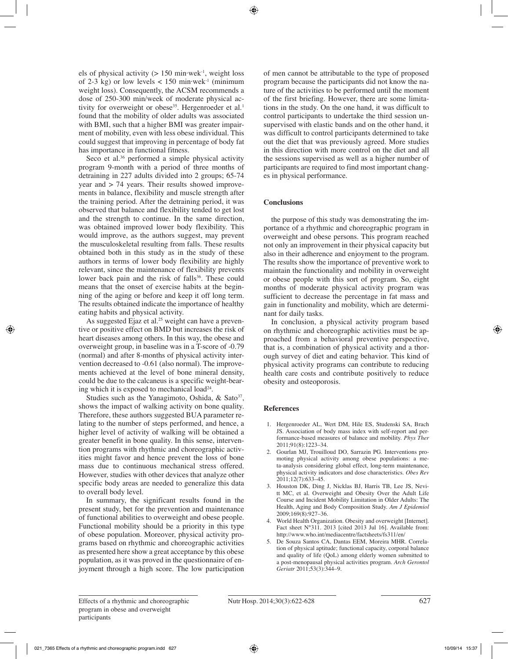els of physical activity ( $> 150$  min·wek<sup>-1</sup>, weight loss of 2-3 kg) or low levels  $< 150$  min·wek<sup>-1</sup> (minimum weight loss). Consequently, the ACSM recommends a dose of 250-300 min/week of moderate physical activity for overweight or obese<sup>35</sup>. Hergenroeder et al.<sup>1</sup> found that the mobility of older adults was associated with BMI, such that a higher BMI was greater impairment of mobility, even with less obese individual. This could suggest that improving in percentage of body fat has importance in functional fitness.

Seco et al. $36$  performed a simple physical activity program 9-month with a period of three months of detraining in 227 adults divided into 2 groups; 65-74 year and > 74 years. Their results showed improvements in balance, flexibility and muscle strength after the training period. After the detraining period, it was observed that balance and flexibility tended to get lost and the strength to continue. In the same direction, was obtained improved lower body flexibility. This would improve, as the authors suggest, may prevent the musculoskeletal resulting from falls. These results obtained both in this study as in the study of these authors in terms of lower body flexibility are highly relevant, since the maintenance of flexibility prevents lower back pain and the risk of falls<sup>36</sup>. These could means that the onset of exercise habits at the beginning of the aging or before and keep it off long term. The results obtained indicate the importance of healthy eating habits and physical activity.

As suggested Ejaz et al.<sup>25</sup> weight can have a preventive or positive effect on BMD but increases the risk of heart diseases among others. In this way, the obese and overweight group, in baseline was in a T-score of -0.79 (normal) and after 8-months of physical activity intervention decreased to -0.61 (also normal). The improvements achieved at the level of bone mineral density, could be due to the calcaneus is a specific weight-bearing which it is exposed to mechanical load $24$ .

Studies such as the Yanagimoto, Oshida,  $\&$  Sato<sup>37</sup>, shows the impact of walking activity on bone quality. Therefore, these authors suggested BUA parameter relating to the number of steps performed, and hence, a higher level of activity of walking will be obtained a greater benefit in bone quality. In this sense, intervention programs with rhythmic and choreographic activities might favor and hence prevent the loss of bone mass due to continuous mechanical stress offered. However, studies with other devices that analyze other specific body areas are needed to generalize this data to overall body level.

In summary, the significant results found in the present study, bet for the prevention and maintenance of functional abilities to overweight and obese people. Functional mobility should be a priority in this type of obese population. Moreover, physical activity programs based on rhythmic and choreographic activities as presented here show a great acceptance by this obese population, as it was proved in the questionnaire of enjoyment through a high score. The low participation of men cannot be attributable to the type of proposed program because the participants did not know the nature of the activities to be performed until the moment of the first briefing. However, there are some limitations in the study. On the one hand, it was difficult to control participants to undertake the third session unsupervised with elastic bands and on the other hand, it was difficult to control participants determined to take out the diet that was previously agreed. More studies in this direction with more control on the diet and all the sessions supervised as well as a higher number of participants are required to find most important changes in physical performance.

# **Conclusions**

the purpose of this study was demonstrating the importance of a rhythmic and choreographic program in overweight and obese persons. This program reached not only an improvement in their physical capacity but also in their adherence and enjoyment to the program. The results show the importance of preventive work to maintain the functionality and mobility in overweight or obese people with this sort of program. So, eight months of moderate physical activity program was sufficient to decrease the percentage in fat mass and gain in functionality and mobility, which are determinant for daily tasks.

In conclusion, a physical activity program based on rhythmic and choreographic activities must be approached from a behavioral preventive perspective, that is, a combination of physical activity and a thorough survey of diet and eating behavior. This kind of physical activity programs can contribute to reducing health care costs and contribute positively to reduce obesity and osteoporosis.

## **References**

- 1. Hergenroeder AL, Wert DM, Hile ES, Studenski SA, Brach JS. Association of body mass index with self-report and performance-based measures of balance and mobility. *Phys Ther* 2011;91(8):1223–34.
- 2. Gourlan MJ, Trouilloud DO, Sarrazin PG. Interventions promoting physical activity among obese populations: a meta-analysis considering global effect, long-term maintenance, physical activity indicators and dose characteristics. *Obes Rev* 2011;12(7):633–45.
- 3. Houston DK, Ding J, Nicklas BJ, Harris TB, Lee JS, Nevitt MC, et al. Overweight and Obesity Over the Adult Life Course and Incident Mobility Limitation in Older Adults: The Health, Aging and Body Composition Study. *Am J Epidemiol* 2009;169(8):927–36.
- 4. World Health Organization. Obesity and overweight [Internet]. Fact sheet N°311. 2013 [cited 2013 Jul 16]. Available from: http://www.who.int/mediacentre/factsheets/fs311/en/
- 5. De Souza Santos CA, Dantas EEM, Moreira MHR. Correlation of physical aptitude; functional capacity, corporal balance and quality of life (QoL) among elderly women submitted to a post-menopausal physical activities program*. Arch Gerontol Geriatr* 2011;53(3):344–9.